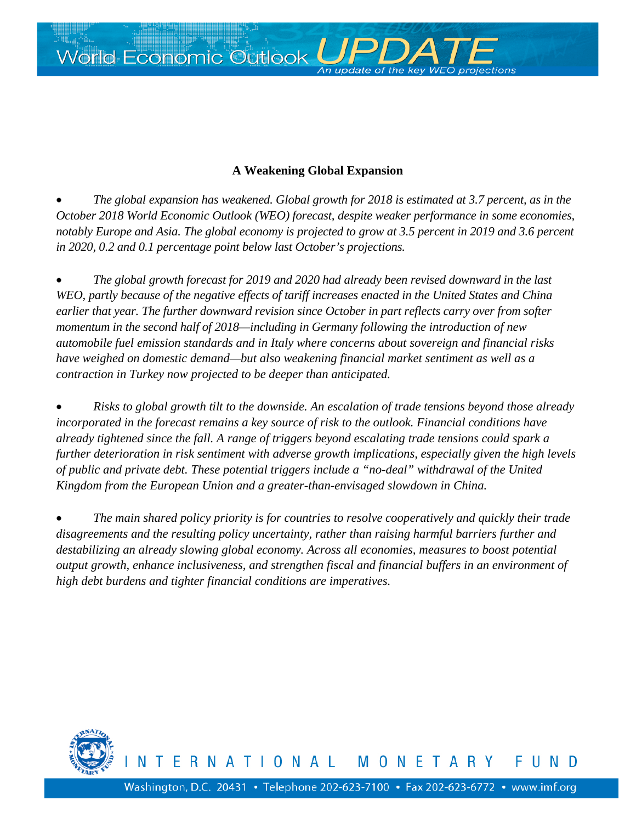World Economic Outlook *UPI* 

# **A Weakening Global Expansion**

of the key WF

• *The global expansion has weakened. Global growth for 2018 is estimated at 3.7 percent, as in the October 2018 World Economic Outlook (WEO) forecast, despite weaker performance in some economies, notably Europe and Asia. The global economy is projected to grow at 3.5 percent in 2019 and 3.6 percent in 2020, 0.2 and 0.1 percentage point below last October's projections.*

• *The global growth forecast for 2019 and 2020 had already been revised downward in the last WEO, partly because of the negative effects of tariff increases enacted in the United States and China earlier that year. The further downward revision since October in part reflects carry over from softer momentum in the second half of 2018—including in Germany following the introduction of new automobile fuel emission standards and in Italy where concerns about sovereign and financial risks have weighed on domestic demand—but also weakening financial market sentiment as well as a contraction in Turkey now projected to be deeper than anticipated.*

• *Risks to global growth tilt to the downside. An escalation of trade tensions beyond those already incorporated in the forecast remains a key source of risk to the outlook. Financial conditions have already tightened since the fall. A range of triggers beyond escalating trade tensions could spark a further deterioration in risk sentiment with adverse growth implications, especially given the high levels of public and private debt. These potential triggers include a "no-deal" withdrawal of the United Kingdom from the European Union and a greater-than-envisaged slowdown in China.*

• *The main shared policy priority is for countries to resolve cooperatively and quickly their trade disagreements and the resulting policy uncertainty, rather than raising harmful barriers further and destabilizing an already slowing global economy. Across all economies, measures to boost potential output growth, enhance inclusiveness, and strengthen fiscal and financial buffers in an environment of high debt burdens and tighter financial conditions are imperatives.*

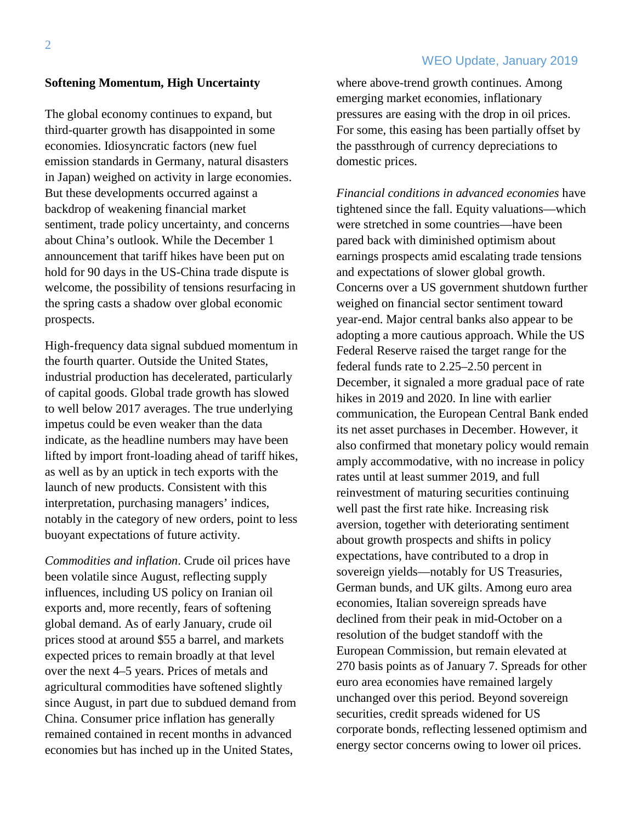## WEO Update, January 2019

#### **Softening Momentum, High Uncertainty**

The global economy continues to expand, but third-quarter growth has disappointed in some economies. Idiosyncratic factors (new fuel emission standards in Germany, natural disasters in Japan) weighed on activity in large economies. But these developments occurred against a backdrop of weakening financial market sentiment, trade policy uncertainty, and concerns about China's outlook. While the December 1 announcement that tariff hikes have been put on hold for 90 days in the US-China trade dispute is welcome, the possibility of tensions resurfacing in the spring casts a shadow over global economic prospects.

High-frequency data signal subdued momentum in the fourth quarter. Outside the United States, industrial production has decelerated, particularly of capital goods. Global trade growth has slowed to well below 2017 averages. The true underlying impetus could be even weaker than the data indicate, as the headline numbers may have been lifted by import front-loading ahead of tariff hikes, as well as by an uptick in tech exports with the launch of new products. Consistent with this interpretation, purchasing managers' indices, notably in the category of new orders, point to less buoyant expectations of future activity.

*Commodities and inflation*. Crude oil prices have been volatile since August, reflecting supply influences, including US policy on Iranian oil exports and, more recently, fears of softening global demand. As of early January, crude oil prices stood at around \$55 a barrel, and markets expected prices to remain broadly at that level over the next 4–5 years. Prices of metals and agricultural commodities have softened slightly since August, in part due to subdued demand from China. Consumer price inflation has generally remained contained in recent months in advanced economies but has inched up in the United States,

where above-trend growth continues. Among emerging market economies, inflationary pressures are easing with the drop in oil prices. For some, this easing has been partially offset by the passthrough of currency depreciations to domestic prices.

*Financial conditions in advanced economies* have tightened since the fall. Equity valuations—which were stretched in some countries—have been pared back with diminished optimism about earnings prospects amid escalating trade tensions and expectations of slower global growth. Concerns over a US government shutdown further weighed on financial sector sentiment toward year-end. Major central banks also appear to be adopting a more cautious approach. While the US Federal Reserve raised the target range for the federal funds rate to 2.25–2.50 percent in December, it signaled a more gradual pace of rate hikes in 2019 and 2020. In line with earlier communication, the European Central Bank ended its net asset purchases in December. However, it also confirmed that monetary policy would remain amply accommodative, with no increase in policy rates until at least summer 2019, and full reinvestment of maturing securities continuing well past the first rate hike. Increasing risk aversion, together with deteriorating sentiment about growth prospects and shifts in policy expectations, have contributed to a drop in sovereign yields—notably for US Treasuries, German bunds, and UK gilts. Among euro area economies, Italian sovereign spreads have declined from their peak in mid-October on a resolution of the budget standoff with the European Commission, but remain elevated at 270 basis points as of January 7. Spreads for other euro area economies have remained largely unchanged over this period. Beyond sovereign securities, credit spreads widened for US corporate bonds, reflecting lessened optimism and energy sector concerns owing to lower oil prices.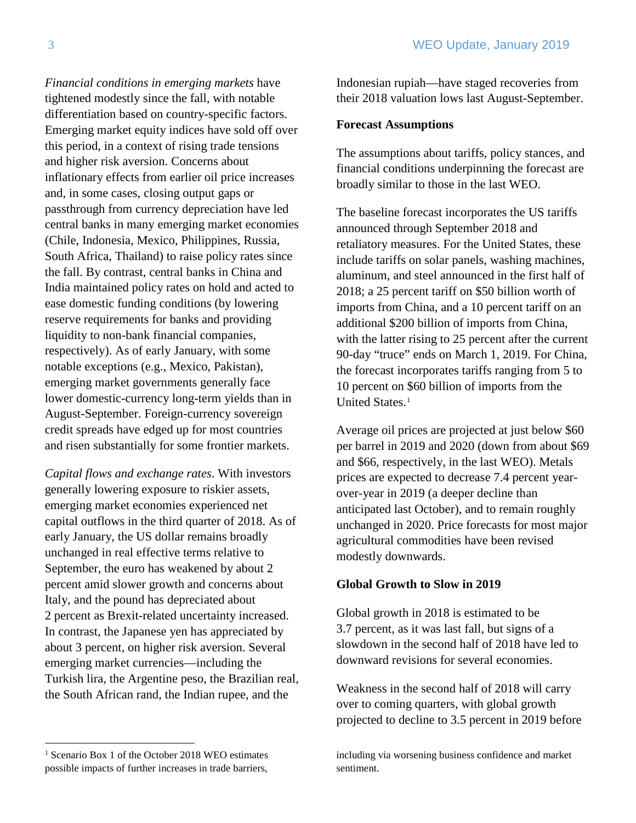*Financial conditions in emerging markets* have tightened modestly since the fall, with notable differentiation based on country-specific factors. Emerging market equity indices have sold off over this period, in a context of rising trade tensions and higher risk aversion. Concerns about inflationary effects from earlier oil price increases and, in some cases, closing output gaps or passthrough from currency depreciation have led central banks in many emerging market economies (Chile, Indonesia, Mexico, Philippines, Russia, South Africa, Thailand) to raise policy rates since the fall. By contrast, central banks in China and India maintained policy rates on hold and acted to ease domestic funding conditions (by lowering reserve requirements for banks and providing liquidity to non-bank financial companies, respectively). As of early January, with some notable exceptions (e.g., Mexico, Pakistan), emerging market governments generally face lower domestic-currency long-term yields than in August-September. Foreign-currency sovereign credit spreads have edged up for most countries and risen substantially for some frontier markets.

*Capital flows and exchange rates*. With investors generally lowering exposure to riskier assets, emerging market economies experienced net capital outflows in the third quarter of 2018. As of early January, the US dollar remains broadly unchanged in real effective terms relative to September, the euro has weakened by about 2 percent amid slower growth and concerns about Italy, and the pound has depreciated about 2 percent as Brexit-related uncertainty increased. In contrast, the Japanese yen has appreciated by about 3 percent, on higher risk aversion. Several emerging market currencies—including the Turkish lira, the Argentine peso, the Brazilian real, the South African rand, the Indian rupee, and the

Indonesian rupiah—have staged recoveries from their 2018 valuation lows last August-September.

### **Forecast Assumptions**

The assumptions about tariffs, policy stances, and financial conditions underpinning the forecast are broadly similar to those in the last WEO.

The baseline forecast incorporates the US tariffs announced through September 2018 and retaliatory measures. For the United States, these include tariffs on solar panels, washing machines, aluminum, and steel announced in the first half of 2018; a 25 percent tariff on \$50 billion worth of imports from China, and a 10 percent tariff on an additional \$200 billion of imports from China, with the latter rising to 25 percent after the current 90-day "truce" ends on March 1, 2019. For China, the forecast incorporates tariffs ranging from 5 to 10 percent on \$60 billion of imports from the United States. [1](#page-2-0)

Average oil prices are projected at just below \$60 per barrel in 2019 and 2020 (down from about \$69 and \$66, respectively, in the last WEO). Metals prices are expected to decrease 7.4 percent yearover-year in 2019 (a deeper decline than anticipated last October), and to remain roughly unchanged in 2020. Price forecasts for most major agricultural commodities have been revised modestly downwards.

## **Global Growth to Slow in 2019**

Global growth in 2018 is estimated to be 3.7 percent, as it was last fall, but signs of a slowdown in the second half of 2018 have led to downward revisions for several economies.

Weakness in the second half of 2018 will carry over to coming quarters, with global growth projected to decline to 3.5 percent in 2019 before

<span id="page-2-0"></span><sup>&</sup>lt;sup>1</sup> Scenario Box 1 of the October 2018 WEO estimates possible impacts of further increases in trade barriers,

including via worsening business confidence and market sentiment.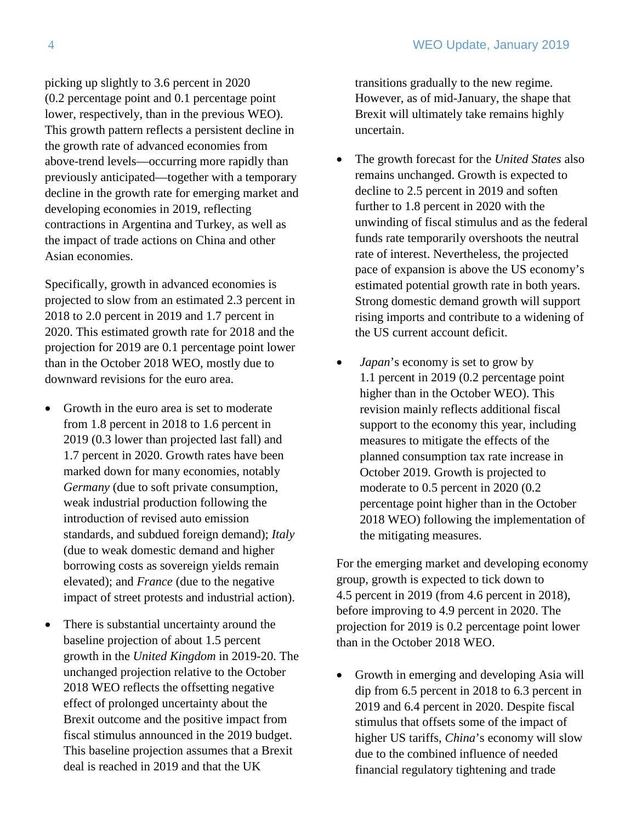picking up slightly to 3.6 percent in 2020 (0.2 percentage point and 0.1 percentage point lower, respectively, than in the previous WEO). This growth pattern reflects a persistent decline in the growth rate of advanced economies from above-trend levels—occurring more rapidly than previously anticipated—together with a temporary decline in the growth rate for emerging market and developing economies in 2019, reflecting contractions in Argentina and Turkey, as well as the impact of trade actions on China and other Asian economies.

Specifically, growth in advanced economies is projected to slow from an estimated 2.3 percent in 2018 to 2.0 percent in 2019 and 1.7 percent in 2020. This estimated growth rate for 2018 and the projection for 2019 are 0.1 percentage point lower than in the October 2018 WEO, mostly due to downward revisions for the euro area.

- Growth in the euro area is set to moderate from 1.8 percent in 2018 to 1.6 percent in 2019 (0.3 lower than projected last fall) and 1.7 percent in 2020. Growth rates have been marked down for many economies, notably *Germany* (due to soft private consumption, weak industrial production following the introduction of revised auto emission standards, and subdued foreign demand); *Italy* (due to weak domestic demand and higher borrowing costs as sovereign yields remain elevated); and *France* (due to the negative impact of street protests and industrial action).
- There is substantial uncertainty around the baseline projection of about 1.5 percent growth in the *United Kingdom* in 2019-20. The unchanged projection relative to the October 2018 WEO reflects the offsetting negative effect of prolonged uncertainty about the Brexit outcome and the positive impact from fiscal stimulus announced in the 2019 budget. This baseline projection assumes that a Brexit deal is reached in 2019 and that the UK

transitions gradually to the new regime. However, as of mid-January, the shape that Brexit will ultimately take remains highly uncertain.

- The growth forecast for the *United States* also remains unchanged. Growth is expected to decline to 2.5 percent in 2019 and soften further to 1.8 percent in 2020 with the unwinding of fiscal stimulus and as the federal funds rate temporarily overshoots the neutral rate of interest. Nevertheless, the projected pace of expansion is above the US economy's estimated potential growth rate in both years. Strong domestic demand growth will support rising imports and contribute to a widening of the US current account deficit.
- *Japan*'s economy is set to grow by 1.1 percent in 2019 (0.2 percentage point higher than in the October WEO). This revision mainly reflects additional fiscal support to the economy this year, including measures to mitigate the effects of the planned consumption tax rate increase in October 2019. Growth is projected to moderate to 0.5 percent in 2020 (0.2 percentage point higher than in the October 2018 WEO) following the implementation of the mitigating measures.

For the emerging market and developing economy group, growth is expected to tick down to 4.5 percent in 2019 (from 4.6 percent in 2018), before improving to 4.9 percent in 2020. The projection for 2019 is 0.2 percentage point lower than in the October 2018 WEO.

• Growth in emerging and developing Asia will dip from 6.5 percent in 2018 to 6.3 percent in 2019 and 6.4 percent in 2020. Despite fiscal stimulus that offsets some of the impact of higher US tariffs, *China*'s economy will slow due to the combined influence of needed financial regulatory tightening and trade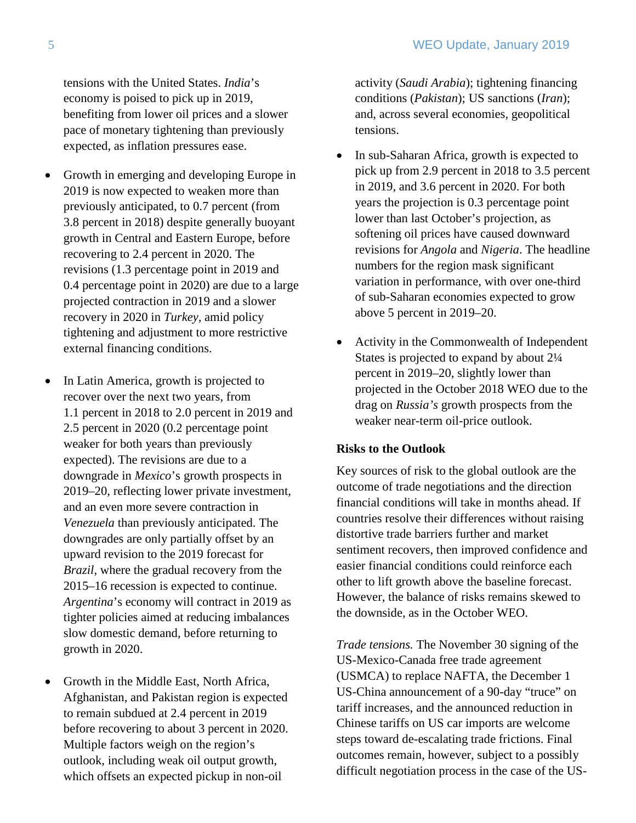tensions with the United States. *India*'s economy is poised to pick up in 2019, benefiting from lower oil prices and a slower pace of monetary tightening than previously expected, as inflation pressures ease.

- Growth in emerging and developing Europe in 2019 is now expected to weaken more than previously anticipated, to 0.7 percent (from 3.8 percent in 2018) despite generally buoyant growth in Central and Eastern Europe, before recovering to 2.4 percent in 2020. The revisions (1.3 percentage point in 2019 and 0.4 percentage point in 2020) are due to a large projected contraction in 2019 and a slower recovery in 2020 in *Turkey,* amid policy tightening and adjustment to more restrictive external financing conditions.
- In Latin America, growth is projected to recover over the next two years, from 1.1 percent in 2018 to 2.0 percent in 2019 and 2.5 percent in 2020 (0.2 percentage point weaker for both years than previously expected). The revisions are due to a downgrade in *Mexico*'s growth prospects in 2019–20, reflecting lower private investment, and an even more severe contraction in *Venezuela* than previously anticipated. The downgrades are only partially offset by an upward revision to the 2019 forecast for *Brazil*, where the gradual recovery from the 2015–16 recession is expected to continue. *Argentina*'s economy will contract in 2019 as tighter policies aimed at reducing imbalances slow domestic demand, before returning to growth in 2020.
- Growth in the Middle East, North Africa, Afghanistan, and Pakistan region is expected to remain subdued at 2.4 percent in 2019 before recovering to about 3 percent in 2020. Multiple factors weigh on the region's outlook, including weak oil output growth, which offsets an expected pickup in non-oil

activity (*Saudi Arabia*); tightening financing conditions (*Pakistan*); US sanctions (*Iran*); and, across several economies, geopolitical tensions.

- In sub-Saharan Africa, growth is expected to pick up from 2.9 percent in 2018 to 3.5 percent in 2019, and 3.6 percent in 2020. For both years the projection is 0.3 percentage point lower than last October's projection, as softening oil prices have caused downward revisions for *Angola* and *Nigeria*. The headline numbers for the region mask significant variation in performance, with over one-third of sub-Saharan economies expected to grow above 5 percent in 2019–20.
- Activity in the Commonwealth of Independent States is projected to expand by about 2¼ percent in 2019–20, slightly lower than projected in the October 2018 WEO due to the drag on *Russia's* growth prospects from the weaker near-term oil-price outlook.

## **Risks to the Outlook**

Key sources of risk to the global outlook are the outcome of trade negotiations and the direction financial conditions will take in months ahead. If countries resolve their differences without raising distortive trade barriers further and market sentiment recovers, then improved confidence and easier financial conditions could reinforce each other to lift growth above the baseline forecast. However, the balance of risks remains skewed to the downside, as in the October WEO.

*Trade tensions.* The November 30 signing of the US-Mexico-Canada free trade agreement (USMCA) to replace NAFTA, the December 1 US-China announcement of a 90-day "truce" on tariff increases, and the announced reduction in Chinese tariffs on US car imports are welcome steps toward de-escalating trade frictions. Final outcomes remain, however, subject to a possibly difficult negotiation process in the case of the US-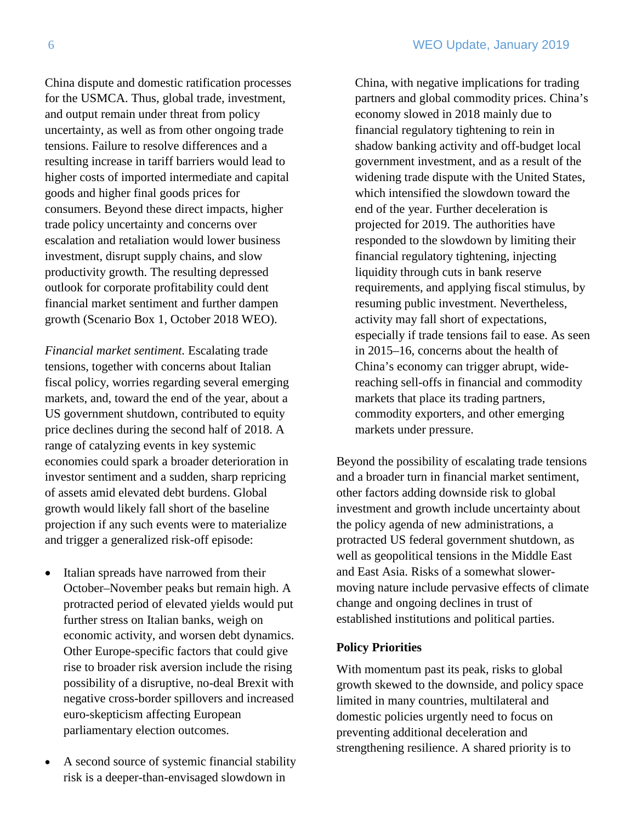China dispute and domestic ratification processes for the USMCA. Thus, global trade, investment, and output remain under threat from policy uncertainty, as well as from other ongoing trade tensions. Failure to resolve differences and a resulting increase in tariff barriers would lead to higher costs of imported intermediate and capital goods and higher final goods prices for consumers. Beyond these direct impacts, higher trade policy uncertainty and concerns over escalation and retaliation would lower business investment, disrupt supply chains, and slow productivity growth. The resulting depressed outlook for corporate profitability could dent financial market sentiment and further dampen growth (Scenario Box 1, October 2018 WEO).

*Financial market sentiment.* Escalating trade tensions, together with concerns about Italian fiscal policy, worries regarding several emerging markets, and, toward the end of the year, about a US government shutdown, contributed to equity price declines during the second half of 2018. A range of catalyzing events in key systemic economies could spark a broader deterioration in investor sentiment and a sudden, sharp repricing of assets amid elevated debt burdens. Global growth would likely fall short of the baseline projection if any such events were to materialize and trigger a generalized risk-off episode:

- Italian spreads have narrowed from their October–November peaks but remain high. A protracted period of elevated yields would put further stress on Italian banks, weigh on economic activity, and worsen debt dynamics. Other Europe-specific factors that could give rise to broader risk aversion include the rising possibility of a disruptive, no-deal Brexit with negative cross-border spillovers and increased euro-skepticism affecting European parliamentary election outcomes.
- A second source of systemic financial stability risk is a deeper-than-envisaged slowdown in

China, with negative implications for trading partners and global commodity prices. China's economy slowed in 2018 mainly due to financial regulatory tightening to rein in shadow banking activity and off-budget local government investment, and as a result of the widening trade dispute with the United States, which intensified the slowdown toward the end of the year. Further deceleration is projected for 2019. The authorities have responded to the slowdown by limiting their financial regulatory tightening, injecting liquidity through cuts in bank reserve requirements, and applying fiscal stimulus, by resuming public investment. Nevertheless, activity may fall short of expectations, especially if trade tensions fail to ease. As seen in 2015–16, concerns about the health of China's economy can trigger abrupt, widereaching sell-offs in financial and commodity markets that place its trading partners, commodity exporters, and other emerging markets under pressure.

Beyond the possibility of escalating trade tensions and a broader turn in financial market sentiment, other factors adding downside risk to global investment and growth include uncertainty about the policy agenda of new administrations, a protracted US federal government shutdown, as well as geopolitical tensions in the Middle East and East Asia. Risks of a somewhat slowermoving nature include pervasive effects of climate change and ongoing declines in trust of established institutions and political parties.

#### **Policy Priorities**

With momentum past its peak, risks to global growth skewed to the downside, and policy space limited in many countries, multilateral and domestic policies urgently need to focus on preventing additional deceleration and strengthening resilience. A shared priority is to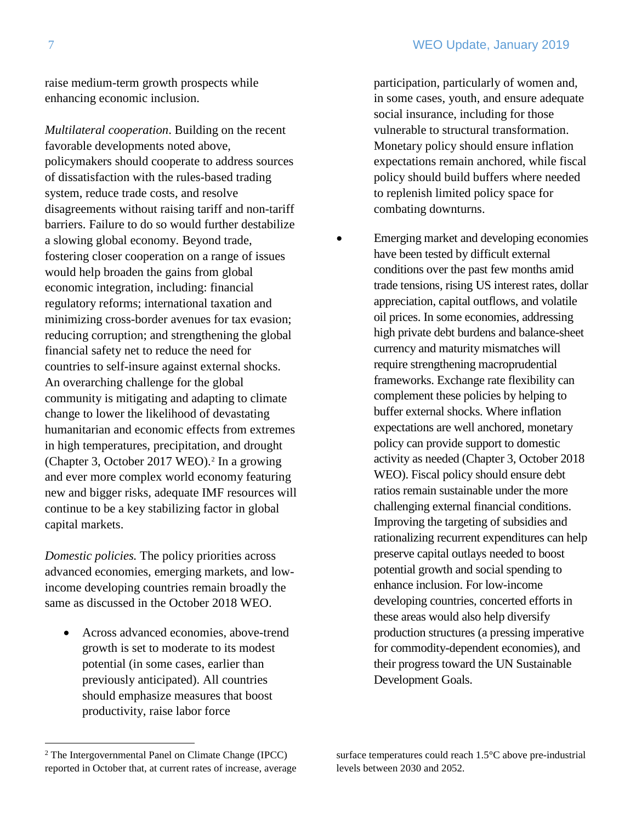raise medium-term growth prospects while enhancing economic inclusion.

*Multilateral cooperation*. Building on the recent favorable developments noted above, policymakers should cooperate to address sources of dissatisfaction with the rules-based trading system, reduce trade costs, and resolve disagreements without raising tariff and non-tariff barriers. Failure to do so would further destabilize a slowing global economy. Beyond trade, fostering closer cooperation on a range of issues would help broaden the gains from global economic integration, including: financial regulatory reforms; international taxation and minimizing cross-border avenues for tax evasion; reducing corruption; and strengthening the global financial safety net to reduce the need for countries to self-insure against external shocks. An overarching challenge for the global community is mitigating and adapting to climate change to lower the likelihood of devastating humanitarian and economic effects from extremes in high temperatures, precipitation, and drought (Chapter 3, October [2](#page-6-0)017 WEO).<sup>2</sup> In a growing and ever more complex world economy featuring new and bigger risks, adequate IMF resources will continue to be a key stabilizing factor in global capital markets.

*Domestic policies.* The policy priorities across advanced economies, emerging markets, and lowincome developing countries remain broadly the same as discussed in the October 2018 WEO.

• Across advanced economies, above-trend growth is set to moderate to its modest potential (in some cases, earlier than previously anticipated). All countries should emphasize measures that boost productivity, raise labor force

participation, particularly of women and, in some cases, youth, and ensure adequate social insurance, including for those vulnerable to structural transformation. Monetary policy should ensure inflation expectations remain anchored, while fiscal policy should build buffers where needed to replenish limited policy space for combating downturns.

• Emerging market and developing economies have been tested by difficult external conditions over the past few months amid trade tensions, rising US interest rates, dollar appreciation, capital outflows, and volatile oil prices. In some economies, addressing high private debt burdens and balance-sheet currency and maturity mismatches will require strengthening macroprudential frameworks. Exchange rate flexibility can complement these policies by helping to buffer external shocks. Where inflation expectations are well anchored, monetary policy can provide support to domestic activity as needed (Chapter 3, October 2018 WEO). Fiscal policy should ensure debt ratios remain sustainable under the more challenging external financial conditions. Improving the targeting of subsidies and rationalizing recurrent expenditures can help preserve capital outlays needed to boost potential growth and social spending to enhance inclusion. For low-income developing countries, concerted efforts in these areas would also help diversify production structures (a pressing imperative for commodity-dependent economies), and their progress toward the UN Sustainable Development Goals.

surface temperatures could reach 1.5°C above pre-industrial levels between 2030 and 2052.

<span id="page-6-0"></span><sup>2</sup> The Intergovernmental Panel on Climate Change (IPCC) reported in October that, at current rates of increase, average